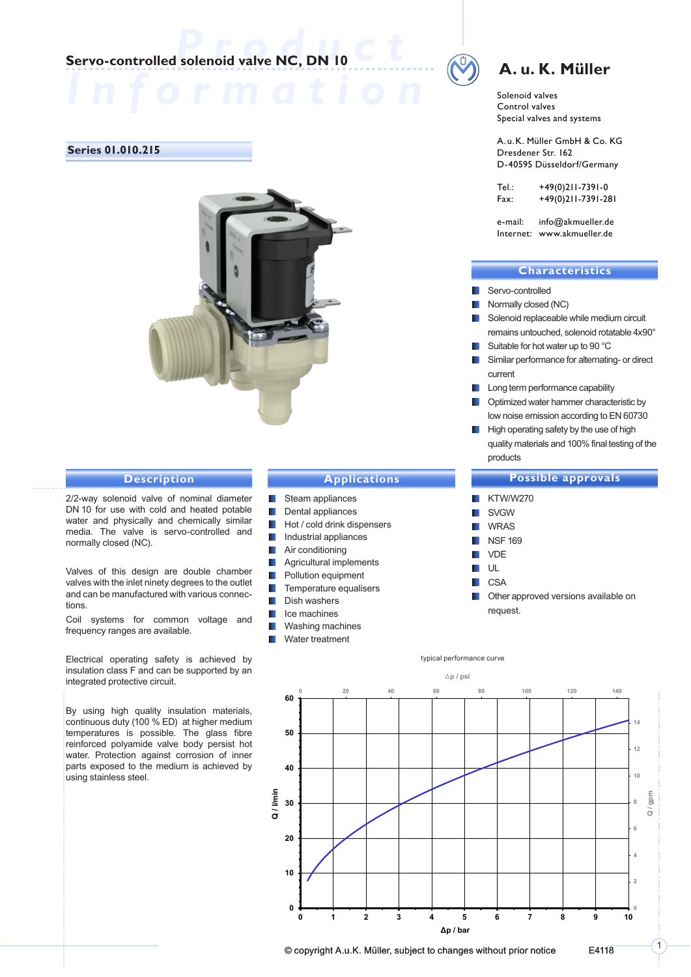# **Production**<br> **Production**<br> **Production**<br> **Production**<br> **Production**<br> **Production**<br> **Production**<br> **Production**<br> **Production**<br> **Production**

#### **Series 01.010.215**



#### **Description**

2/2-way solenoid valve of nominal diameter DN 10 for use with cold and heated potable water and physically and chemically similar media. The valve is servo-controlled and normally closed (NC).

Valves of this design are double chamber valves with the inlet ninety degrees to the outlet and can be manufactured with various connections.

Coil systems for common voltage and frequency ranges are available.

Electrical operating safety is achieved by insulation class F and can be supported by an integrated protective circuit.

By using high quality insulation materials, continuous duty (100 % ED) at higher medium temperatures is possible. The glass fibre reinforced polyamide valve body persist hot water. Protection against corrosion of inner parts exposed to the medium is achieved by using stainless steel.

#### **Applications**

- Steam appliances
- **Dental appliances**
- $\blacksquare$  Hot / cold drink dispensers
- **I** Industrial appliances
- **Air conditioning**
- **Agricultural implements**
- **Pollution equipment**
- $\blacksquare$  Temperature equalisers
- **Dish washers**
- **I**I Ice machines
- **Washing machines**
- **N** Water treatment

## **A. u. K. Müller**

Solenoid valves Control valves Special valves and systems

A.u.K. Müller GmbH & Co. KG Dresdener Str. 162 D-40595 Düsseldorf/Germany

| Tel.: | +49(0)211-7391-0   |
|-------|--------------------|
| Fax:  | +49(0)211-7391-281 |

e-mail: info@akmueller.de Internet: www.akmueller.de

#### **Characteristics**

- Servo-controlled
- Normally closed (NC)
- Solenoid replaceable while medium circuit remains untouched, solenoid rotatable 4x90°
- Suitable for hot water up to 90 °C
- **Similar performance for alternating- or direct** current
- **Long term performance capability**
- **D** Optimized water hammer characteristic by low noise emission according to EN 60730
- High operating safety by the use of high quality materials and 100% final testing of the products

#### **Possible approvals**

 KTW/W270 SVGW WRAS NSF 169 VDE  $\blacksquare$ **CSA DECO** Other approved versions available on

request.

typical performance curve